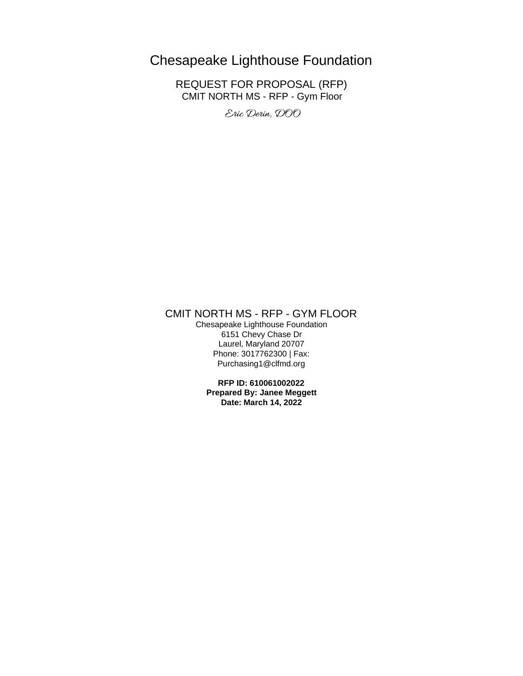# Chesapeake Lighthouse Foundation

REQUEST FOR PROPOSAL (RFP) CMIT NORTH MS - RFP - Gym Floor

Eric Derin, DOO

# CMIT NORTH MS - RFP - GYM FLOOR

Chesapeake Lighthouse Foundation 6151 Chevy Chase Dr Laurel, Maryland 20707 Phone: 3017762300 | Fax: Purchasing1@clfmd.org

**RFP ID: 610061002022 Prepared By: Janee Meggett Date: March 14, 2022**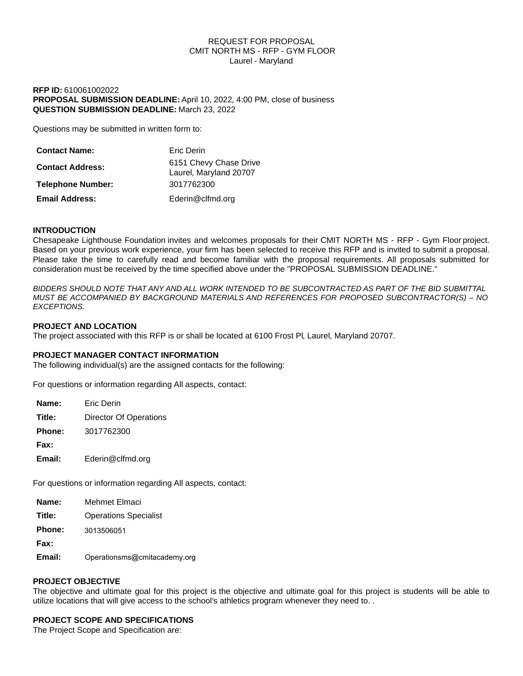#### REQUEST FOR PROPOSAL CMIT NORTH MS - RFP - GYM FLOOR Laurel - Maryland

# **RFP ID:** 610061002022 **PROPOSAL SUBMISSION DEADLINE:** April 10, 2022, 4:00 PM, close of business **QUESTION SUBMISSION DEADLINE:** March 23, 2022

Questions may be submitted in written form to:

| <b>Contact Name:</b>     | Eric Derin                                       |
|--------------------------|--------------------------------------------------|
| <b>Contact Address:</b>  | 6151 Chevy Chase Drive<br>Laurel, Maryland 20707 |
| <b>Telephone Number:</b> | 3017762300                                       |
| <b>Email Address:</b>    | Ederin@clfmd.org                                 |

# **INTRODUCTION**

Chesapeake Lighthouse Foundation invites and welcomes proposals for their CMIT NORTH MS - RFP - Gym Floor project. Based on your previous work experience, your firm has been selected to receive this RFP and is invited to submit a proposal. Please take the time to carefully read and become familiar with the proposal requirements. All proposals submitted for consideration must be received by the time specified above under the "PROPOSAL SUBMISSION DEADLINE."

*BIDDERS SHOULD NOTE THAT ANY AND ALL WORK INTENDED TO BE SUBCONTRACTED AS PART OF THE BID SUBMITTAL MUST BE ACCOMPANIED BY BACKGROUND MATERIALS AND REFERENCES FOR PROPOSED SUBCONTRACTOR(S) – NO EXCEPTIONS.*

#### **PROJECT AND LOCATION**

The project associated with this RFP is or shall be located at 6100 Frost Pl, Laurel, Maryland 20707.

#### **PROJECT MANAGER CONTACT INFORMATION**

The following individual(s) are the assigned contacts for the following:

For questions or information regarding All aspects, contact:

| Name:         | <b>Fric Derin</b>      |
|---------------|------------------------|
| Title:        | Director Of Operations |
| <b>Phone:</b> | 3017762300             |
| Fax:          |                        |
| Email:        | Ederin@clfmd.org       |

For questions or information regarding All aspects, contact:

**Title:** Operations Specialist

**Phone:** 3013506051

**Fax:**

Email: Operationsms@cmitacademy.org

# **PROJECT OBJECTIVE**

The objective and ultimate goal for this project is the objective and ultimate goal for this project is students will be able to utilize locations that will give access to the school's athletics program whenever they need to. .

# **PROJECT SCOPE AND SPECIFICATIONS**

The Project Scope and Specification are: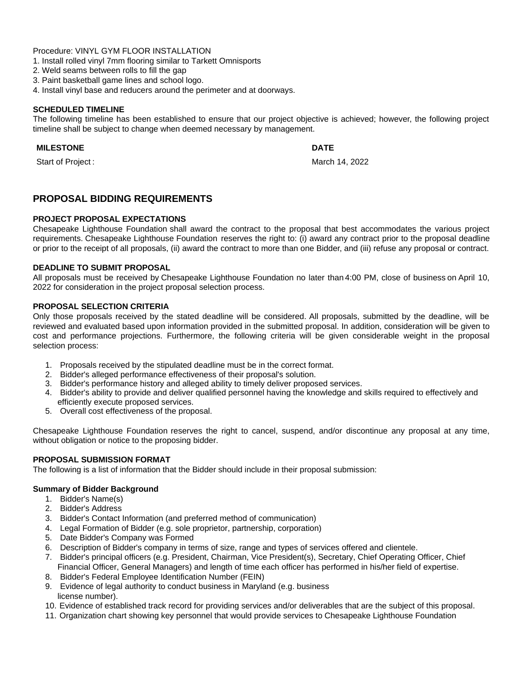Procedure: VINYL GYM FLOOR INSTALLATION

- 1. Install rolled vinyl 7mm flooring similar to Tarkett Omnisports
- 2. Weld seams between rolls to fill the gap
- 3. Paint basketball game lines and school logo.
- 4. Install vinyl base and reducers around the perimeter and at doorways.

#### **SCHEDULED TIMELINE**

The following timeline has been established to ensure that our project objective is achieved; however, the following project timeline shall be subject to change when deemed necessary by management.

# **MILESTONE** DATE

Start of Project : March 14, 2022

# **PROPOSAL BIDDING REQUIREMENTS**

#### **PROJECT PROPOSAL EXPECTATIONS**

Chesapeake Lighthouse Foundation shall award the contract to the proposal that best accommodates the various project requirements. Chesapeake Lighthouse Foundation reserves the right to: (i) award any contract prior to the proposal deadline or prior to the receipt of all proposals, (ii) award the contract to more than one Bidder, and (iii) refuse any proposal or contract.

# **DEADLINE TO SUBMIT PROPOSAL**

All proposals must be received by Chesapeake Lighthouse Foundation no later than 4:00 PM, close of business on April 10, 2022 for consideration in the project proposal selection process.

# **PROPOSAL SELECTION CRITERIA**

Only those proposals received by the stated deadline will be considered. All proposals, submitted by the deadline, will be reviewed and evaluated based upon information provided in the submitted proposal. In addition, consideration will be given to cost and performance projections. Furthermore, the following criteria will be given considerable weight in the proposal selection process:

- 1. Proposals received by the stipulated deadline must be in the correct format.
- 2. Bidder's alleged performance effectiveness of their proposal's solution.
- 3. Bidder's performance history and alleged ability to timely deliver proposed services.
- 4. Bidder's ability to provide and deliver qualified personnel having the knowledge and skills required to effectively and efficiently execute proposed services.
- 5. Overall cost effectiveness of the proposal.

Chesapeake Lighthouse Foundation reserves the right to cancel, suspend, and/or discontinue any proposal at any time, without obligation or notice to the proposing bidder.

# **PROPOSAL SUBMISSION FORMAT**

The following is a list of information that the Bidder should include in their proposal submission:

#### **Summary of Bidder Background**

- 1. Bidder's Name(s)
- 2. Bidder's Address
- 3. Bidder's Contact Information (and preferred method of communication)
- 4. Legal Formation of Bidder (e.g. sole proprietor, partnership, corporation)
- 5. Date Bidder's Company was Formed
- 6. Description of Bidder's company in terms of size, range and types of services offered and clientele.
- 7. Bidder's principal officers (e.g. President, Chairman, Vice President(s), Secretary, Chief Operating Officer, Chief Financial Officer, General Managers) and length of time each officer has performed in his/her field of expertise.
- 8. Bidder's Federal Employee Identification Number (FEIN)
- 9. Evidence of legal authority to conduct business in Maryland (e.g. business license number).
- 10. Evidence of established track record for providing services and/or deliverables that are the subject of this proposal.
- 11. Organization chart showing key personnel that would provide services to Chesapeake Lighthouse Foundation